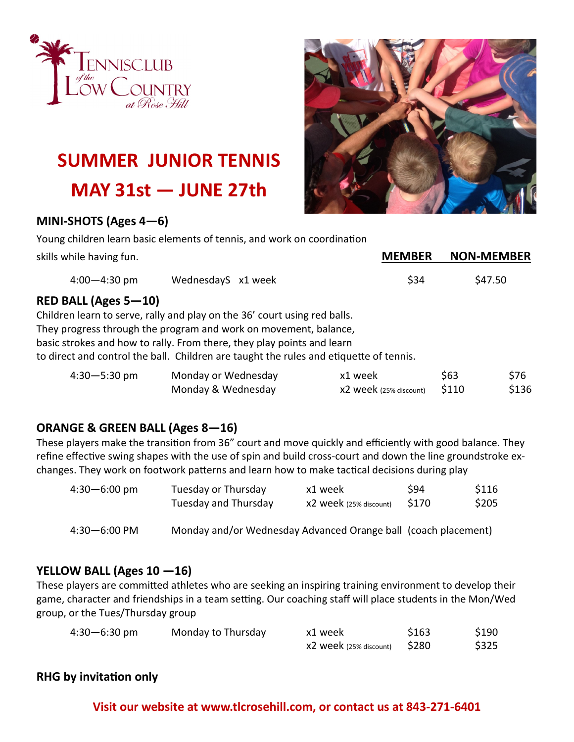



# **SUMMER JUNIOR TENNIS MAY 31st — JUNE 27th**

### **MINI-SHOTS (Ages 4—6)**

Young children learn basic elements of tennis, and work on coordination

| skills while having fun.    |                                                                                                                                                                                                                                                                                                                   | <b>MEMBER</b>                     |               | <b>NON-MEMBER</b> |
|-----------------------------|-------------------------------------------------------------------------------------------------------------------------------------------------------------------------------------------------------------------------------------------------------------------------------------------------------------------|-----------------------------------|---------------|-------------------|
| $4:00 - 4:30$ pm            | WednesdayS x1 week                                                                                                                                                                                                                                                                                                | \$34                              |               | \$47.50           |
| <b>RED BALL (Ages 5-10)</b> | Children learn to serve, rally and play on the 36' court using red balls.<br>They progress through the program and work on movement, balance,<br>basic strokes and how to rally. From there, they play points and learn<br>to direct and control the ball. Children are taught the rules and etiquette of tennis. |                                   |               |                   |
| $4:30 - 5:30$ pm            | Monday or Wednesday<br>Monday & Wednesday                                                                                                                                                                                                                                                                         | x1 week<br>X2 week (25% discount) | \$63<br>\$110 | \$76<br>\$136     |

### **ORANGE & GREEN BALL (Ages 8—16)**

These players make the transition from 36" court and move quickly and efficiently with good balance. They refine effective swing shapes with the use of spin and build cross-court and down the line groundstroke exchanges. They work on footwork patterns and learn how to make tactical decisions during play

| $4:30 - 6:00$ pm | Tuesday or Thursday  | x1 week                  | S94   | \$116 |
|------------------|----------------------|--------------------------|-------|-------|
|                  | Tuesday and Thursday | $x2$ week (25% discount) | \$170 | \$205 |

4:30—6:00 PM Monday and/or Wednesday Advanced Orange ball (coach placement)

### **YELLOW BALL (Ages 10 —16)**

These players are committed athletes who are seeking an inspiring training environment to develop their game, character and friendships in a team setting. Our coaching staff will place students in the Mon/Wed group, or the Tues/Thursday group

| $4:30 - 6:30$ pm | Monday to Thursday | x1 week                         | \$163 | \$190 |
|------------------|--------------------|---------------------------------|-------|-------|
|                  |                    | $x2$ week (25% discount) $$280$ |       | \$325 |

### **RHG by invitation only**

### **Visit our website at www.tlcrosehill.com, or contact us at 843-271-6401**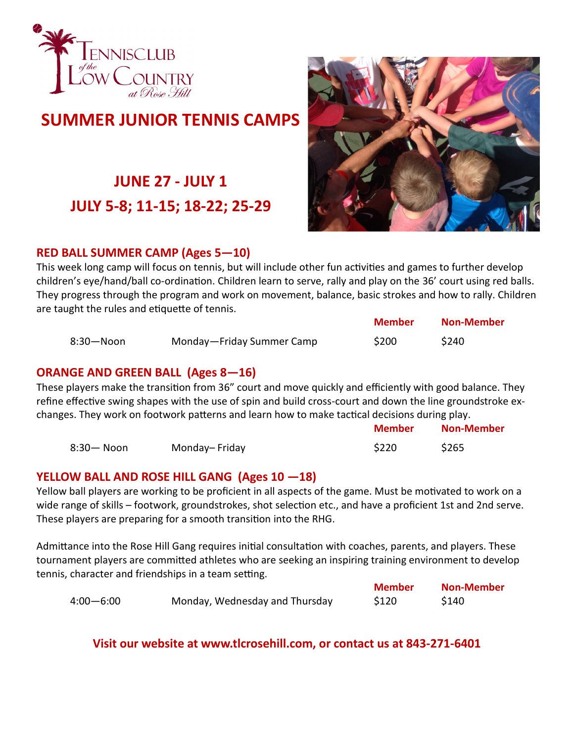

### **SUMMER JUNIOR TENNIS CAMPS**

## **JUNE 27 - JULY 1 JULY 5-8; 11-15; 18-22; 25-29**



### **RED BALL SUMMER CAMP (Ages 5—10)**

This week long camp will focus on tennis, but will include other fun activities and games to further develop children's eye/hand/ball co-ordination. Children learn to serve, rally and play on the 36' court using red balls. They progress through the program and work on movement, balance, basic strokes and how to rally. Children are taught the rules and etiquette of tennis.

|                |                           | <b>Member</b> | <b>Non-Member</b> |
|----------------|---------------------------|---------------|-------------------|
| $8:30 - N$ oon | Monday-Friday Summer Camp | \$200         | \$240             |

### **ORANGE AND GREEN BALL (Ages 8—16)**

These players make the transition from 36" court and move quickly and efficiently with good balance. They refine effective swing shapes with the use of spin and build cross-court and down the line groundstroke exchanges. They work on footwork patterns and learn how to make tactical decisions during play.

|            |               | <b>Member</b> | <b>Non-Member</b> |
|------------|---------------|---------------|-------------------|
| 8:30— Noon | Monday-Friday | \$220         | \$265             |

### **YELLOW BALL AND ROSE HILL GANG (Ages 10 —18)**

Yellow ball players are working to be proficient in all aspects of the game. Must be motivated to work on a wide range of skills – footwork, groundstrokes, shot selection etc., and have a proficient 1st and 2nd serve. These players are preparing for a smooth transition into the RHG.

Admittance into the Rose Hill Gang requires initial consultation with coaches, parents, and players. These tournament players are committed athletes who are seeking an inspiring training environment to develop tennis, character and friendships in a team setting.

|               |                                | <b>Member</b> | <b>Non-Member</b> |
|---------------|--------------------------------|---------------|-------------------|
| $4:00 - 6:00$ | Monday, Wednesday and Thursday | \$120         | \$140             |

**Visit our website at www.tlcrosehill.com, or contact us at 843-271-6401**